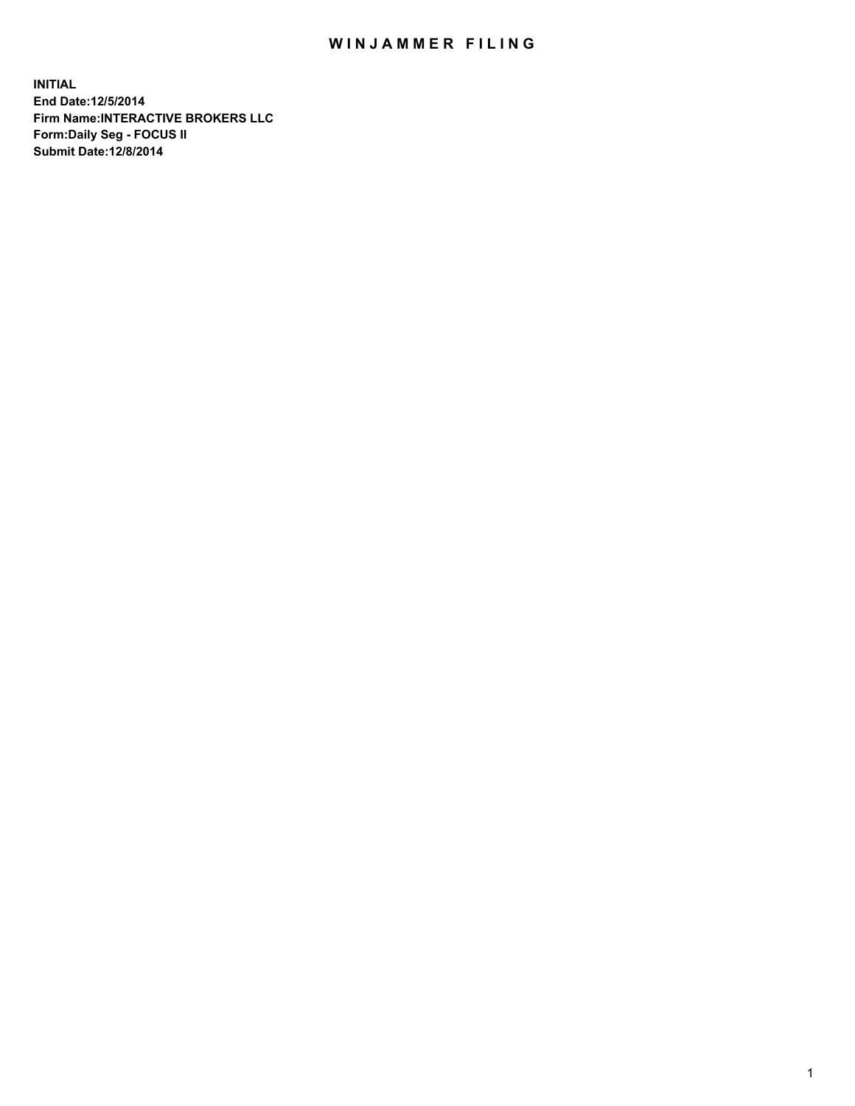## WIN JAMMER FILING

**INITIAL End Date:12/5/2014 Firm Name:INTERACTIVE BROKERS LLC Form:Daily Seg - FOCUS II Submit Date:12/8/2014**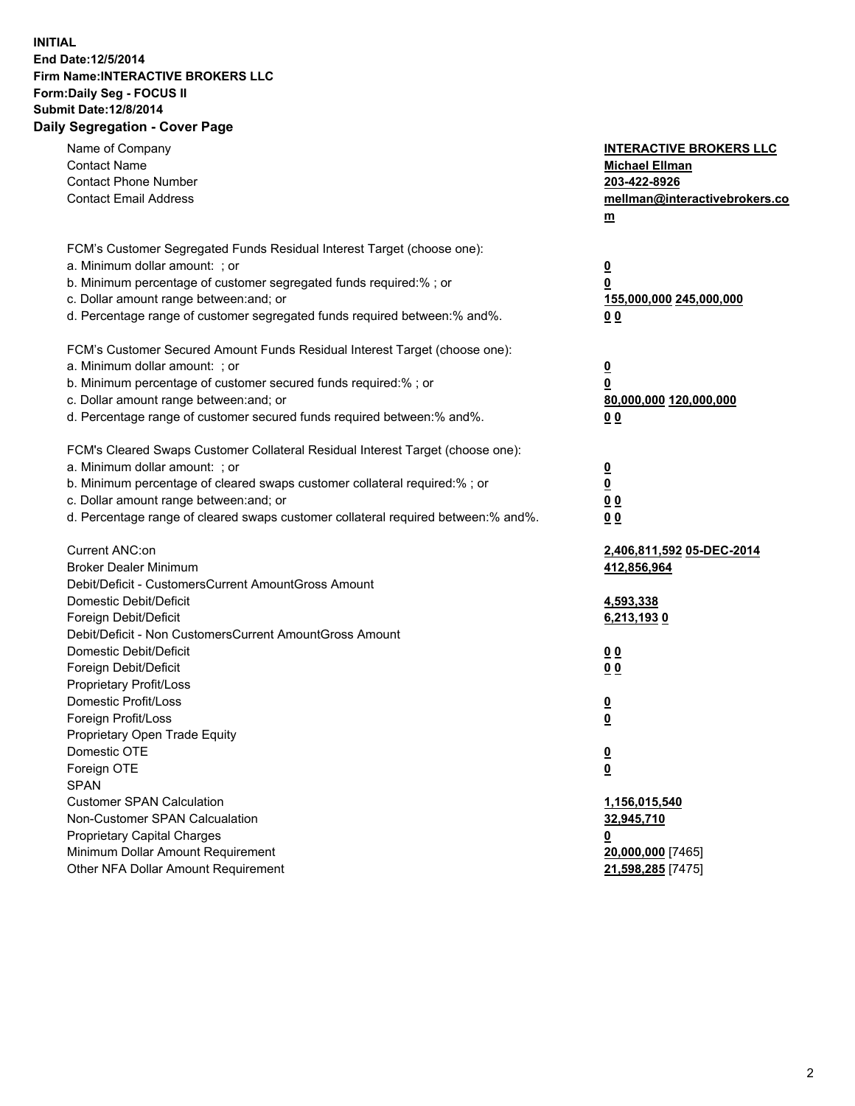## **INITIAL End Date:12/5/2014 Firm Name:INTERACTIVE BROKERS LLC Form:Daily Seg - FOCUS II Submit Date:12/8/2014 Daily Segregation - Cover Page**

| Name of Company<br><b>Contact Name</b><br><b>Contact Phone Number</b><br><b>Contact Email Address</b>                                                                                                                                                                                                                          | <b>INTERACTIVE BROKERS LLC</b><br><b>Michael Ellman</b><br>203-422-8926<br>mellman@interactivebrokers.co<br>$m$ |
|--------------------------------------------------------------------------------------------------------------------------------------------------------------------------------------------------------------------------------------------------------------------------------------------------------------------------------|-----------------------------------------------------------------------------------------------------------------|
| FCM's Customer Segregated Funds Residual Interest Target (choose one):<br>a. Minimum dollar amount: ; or<br>b. Minimum percentage of customer segregated funds required:% ; or<br>c. Dollar amount range between: and; or<br>d. Percentage range of customer segregated funds required between:% and%.                         | $\overline{\mathbf{0}}$<br>0<br>155,000,000 245,000,000<br>0 <sub>0</sub>                                       |
| FCM's Customer Secured Amount Funds Residual Interest Target (choose one):<br>a. Minimum dollar amount: ; or<br>b. Minimum percentage of customer secured funds required:% ; or<br>c. Dollar amount range between: and; or<br>d. Percentage range of customer secured funds required between:% and%.                           | $\overline{\mathbf{0}}$<br>0<br>80,000,000 120,000,000<br>0 <sub>0</sub>                                        |
| FCM's Cleared Swaps Customer Collateral Residual Interest Target (choose one):<br>a. Minimum dollar amount: ; or<br>b. Minimum percentage of cleared swaps customer collateral required:% ; or<br>c. Dollar amount range between: and; or<br>d. Percentage range of cleared swaps customer collateral required between:% and%. | $\overline{\mathbf{0}}$<br>$\underline{\mathbf{0}}$<br>0 <sub>0</sub><br>0 <sub>0</sub>                         |
| Current ANC:on<br><b>Broker Dealer Minimum</b><br>Debit/Deficit - CustomersCurrent AmountGross Amount<br>Domestic Debit/Deficit<br>Foreign Debit/Deficit                                                                                                                                                                       | 2,406,811,592 05-DEC-2014<br>412,856,964<br>4,593,338<br>6,213,1930                                             |
| Debit/Deficit - Non CustomersCurrent AmountGross Amount<br>Domestic Debit/Deficit<br>Foreign Debit/Deficit<br>Proprietary Profit/Loss<br>Domestic Profit/Loss                                                                                                                                                                  | 0 <sub>0</sub><br>0 <sub>0</sub><br>$\overline{\mathbf{0}}$                                                     |
| Foreign Profit/Loss<br>Proprietary Open Trade Equity<br>Domestic OTE<br>Foreign OTE<br><b>SPAN</b><br><b>Customer SPAN Calculation</b>                                                                                                                                                                                         | $\overline{\mathbf{0}}$<br>$\underline{\mathbf{0}}$<br><u>0</u><br>1,156,015,540                                |
| Non-Customer SPAN Calcualation<br><b>Proprietary Capital Charges</b><br>Minimum Dollar Amount Requirement<br>Other NFA Dollar Amount Requirement                                                                                                                                                                               | 32,945,710<br><u>0</u><br>20,000,000 [7465]<br>21,598,285 [7475]                                                |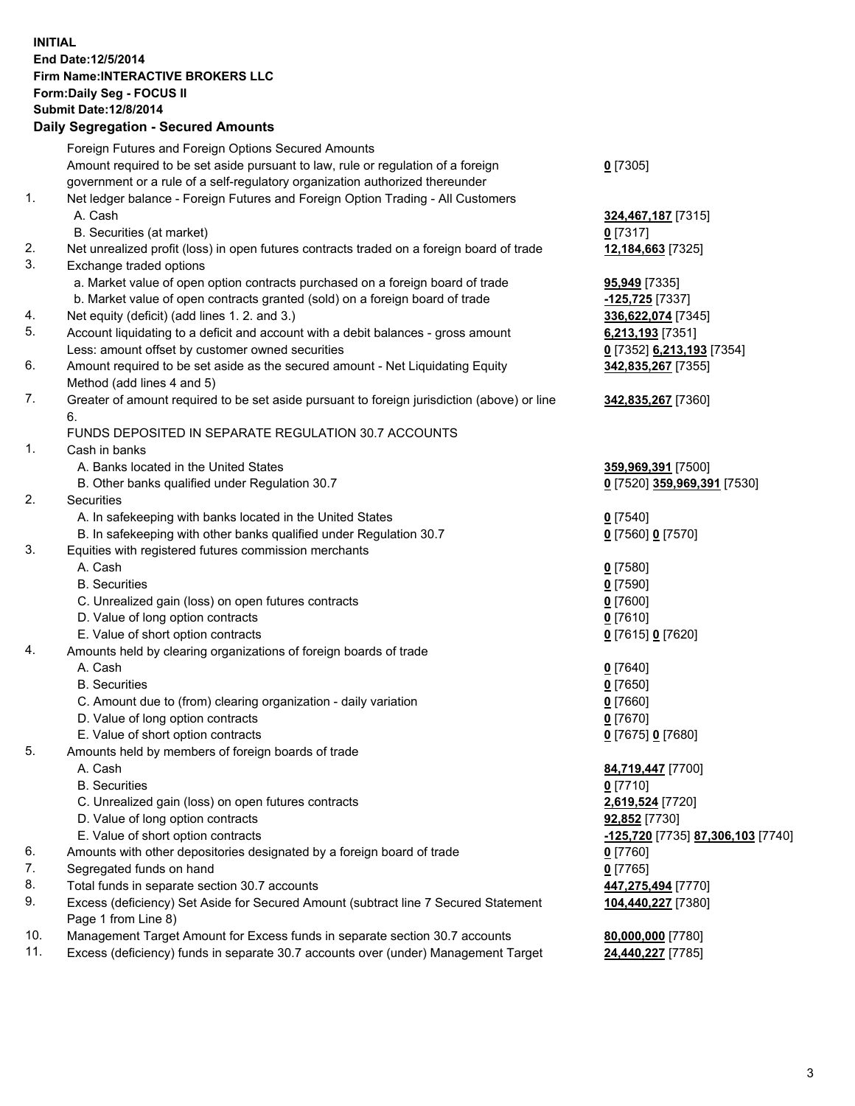## **INITIAL End Date:12/5/2014 Firm Name:INTERACTIVE BROKERS LLC Form:Daily Seg - FOCUS II Submit Date:12/8/2014 Daily Segregation - Secured Amounts**

|     | Daily Jegiegation - Jeculed Aniounts                                                                       |                                   |
|-----|------------------------------------------------------------------------------------------------------------|-----------------------------------|
|     | Foreign Futures and Foreign Options Secured Amounts                                                        |                                   |
|     | Amount required to be set aside pursuant to law, rule or regulation of a foreign                           | $0$ [7305]                        |
|     | government or a rule of a self-regulatory organization authorized thereunder                               |                                   |
| 1.  | Net ledger balance - Foreign Futures and Foreign Option Trading - All Customers                            |                                   |
|     | A. Cash                                                                                                    | 324,467,187 [7315]                |
|     | B. Securities (at market)                                                                                  | $0$ [7317]                        |
| 2.  | Net unrealized profit (loss) in open futures contracts traded on a foreign board of trade                  | 12,184,663 [7325]                 |
| 3.  | Exchange traded options                                                                                    |                                   |
|     | a. Market value of open option contracts purchased on a foreign board of trade                             | <b>95,949</b> [7335]              |
|     | b. Market value of open contracts granted (sold) on a foreign board of trade                               | -125,725 [7337]                   |
| 4.  | Net equity (deficit) (add lines 1.2. and 3.)                                                               | 336,622,074 [7345]                |
| 5.  | Account liquidating to a deficit and account with a debit balances - gross amount                          | 6,213,193 [7351]                  |
|     | Less: amount offset by customer owned securities                                                           | 0 [7352] 6,213,193 [7354]         |
| 6.  | Amount required to be set aside as the secured amount - Net Liquidating Equity                             | 342,835,267 [7355]                |
|     | Method (add lines 4 and 5)                                                                                 |                                   |
| 7.  | Greater of amount required to be set aside pursuant to foreign jurisdiction (above) or line                | 342,835,267 [7360]                |
|     | 6.                                                                                                         |                                   |
|     | FUNDS DEPOSITED IN SEPARATE REGULATION 30.7 ACCOUNTS                                                       |                                   |
| 1.  | Cash in banks                                                                                              |                                   |
|     | A. Banks located in the United States                                                                      | 359,969,391 [7500]                |
|     | B. Other banks qualified under Regulation 30.7                                                             | 0 [7520] 359,969,391 [7530]       |
| 2.  | Securities                                                                                                 |                                   |
|     | A. In safekeeping with banks located in the United States                                                  | $Q$ [7540]                        |
|     | B. In safekeeping with other banks qualified under Regulation 30.7                                         | 0 [7560] 0 [7570]                 |
| 3.  | Equities with registered futures commission merchants                                                      |                                   |
|     | A. Cash                                                                                                    | $0$ [7580]                        |
|     | <b>B.</b> Securities                                                                                       | $0$ [7590]                        |
|     | C. Unrealized gain (loss) on open futures contracts                                                        | $0$ [7600]                        |
|     | D. Value of long option contracts                                                                          | $0$ [7610]                        |
|     | E. Value of short option contracts                                                                         | 0 [7615] 0 [7620]                 |
| 4.  | Amounts held by clearing organizations of foreign boards of trade                                          |                                   |
|     | A. Cash                                                                                                    | $0$ [7640]                        |
|     | <b>B.</b> Securities                                                                                       | $0$ [7650]                        |
|     | C. Amount due to (from) clearing organization - daily variation                                            | $0$ [7660]                        |
|     | D. Value of long option contracts                                                                          | $0$ [7670]                        |
|     | E. Value of short option contracts                                                                         | 0 [7675] 0 [7680]                 |
| 5.  | Amounts held by members of foreign boards of trade                                                         |                                   |
|     | A. Cash                                                                                                    | 84,719,447 [7700]                 |
|     | <b>B.</b> Securities                                                                                       | $0$ [7710]                        |
|     | C. Unrealized gain (loss) on open futures contracts                                                        | 2,619,524 [7720]                  |
|     | D. Value of long option contracts                                                                          | 92,852 [7730]                     |
|     | E. Value of short option contracts                                                                         | -125,720 [7735] 87,306,103 [7740] |
| 6.  | Amounts with other depositories designated by a foreign board of trade                                     | 0 [7760]                          |
| 7.  | Segregated funds on hand                                                                                   | $0$ [7765]                        |
| 8.  | Total funds in separate section 30.7 accounts                                                              | 447,275,494 [7770]                |
| 9.  | Excess (deficiency) Set Aside for Secured Amount (subtract line 7 Secured Statement<br>Page 1 from Line 8) | 104,440,227 [7380]                |
| 10. | Management Target Amount for Excess funds in separate section 30.7 accounts                                | 80,000,000 [7780]                 |
| 11. | Excess (deficiency) funds in separate 30.7 accounts over (under) Management Target                         | 24,440,227 [7785]                 |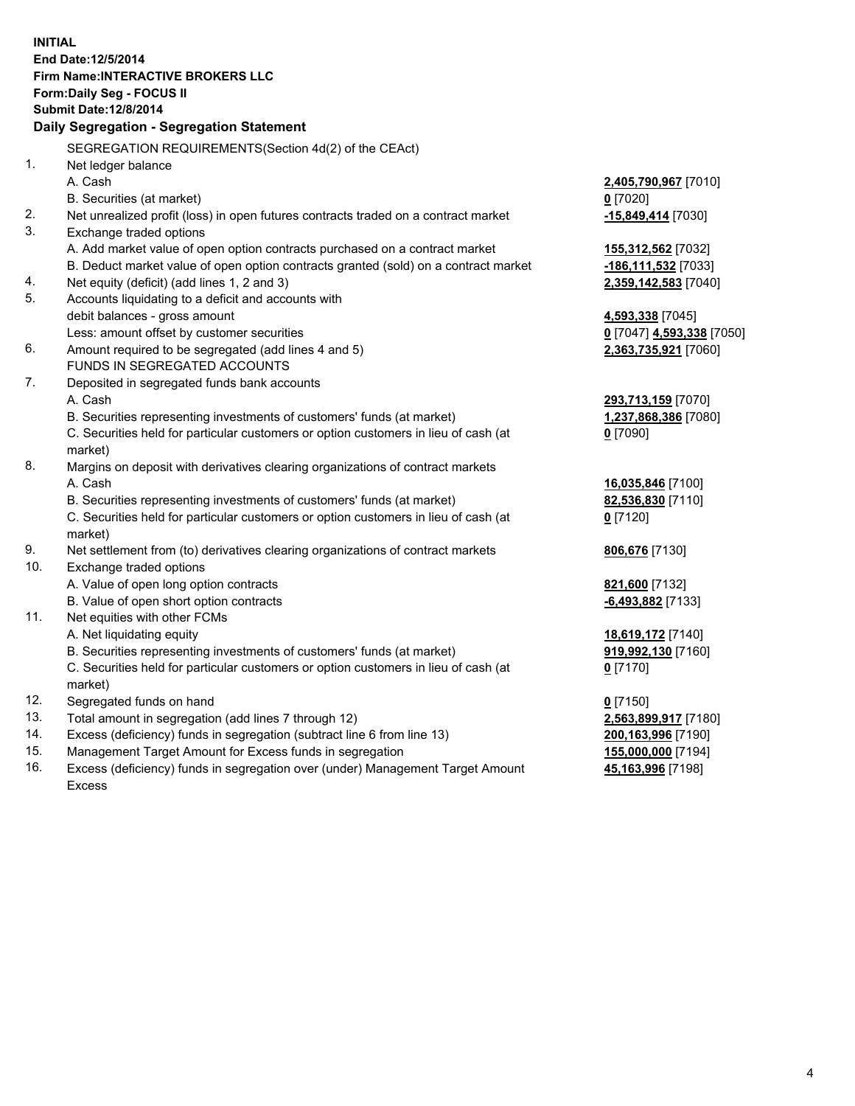**INITIAL End Date:12/5/2014 Firm Name:INTERACTIVE BROKERS LLC Form:Daily Seg - FOCUS II Submit Date:12/8/2014 Daily Segregation - Segregation Statement** SEGREGATION REQUIREMENTS(Section 4d(2) of the CEAct) 1. Net ledger balance A. Cash **2,405,790,967** [7010] B. Securities (at market) **0** [7020] 2. Net unrealized profit (loss) in open futures contracts traded on a contract market **-15,849,414** [7030] 3. Exchange traded options A. Add market value of open option contracts purchased on a contract market **155,312,562** [7032] B. Deduct market value of open option contracts granted (sold) on a contract market **-186,111,532** [7033] 4. Net equity (deficit) (add lines 1, 2 and 3) **2,359,142,583** [7040] 5. Accounts liquidating to a deficit and accounts with debit balances - gross amount **4,593,338** [7045] Less: amount offset by customer securities **0** [7047] **4,593,338** [7050] 6. Amount required to be segregated (add lines 4 and 5) **2,363,735,921** [7060] FUNDS IN SEGREGATED ACCOUNTS 7. Deposited in segregated funds bank accounts A. Cash **293,713,159** [7070] B. Securities representing investments of customers' funds (at market) **1,237,868,386** [7080] C. Securities held for particular customers or option customers in lieu of cash (at market) **0** [7090] 8. Margins on deposit with derivatives clearing organizations of contract markets A. Cash **16,035,846** [7100] B. Securities representing investments of customers' funds (at market) **82,536,830** [7110] C. Securities held for particular customers or option customers in lieu of cash (at market) **0** [7120] 9. Net settlement from (to) derivatives clearing organizations of contract markets **806,676** [7130] 10. Exchange traded options A. Value of open long option contracts **821,600** [7132] B. Value of open short option contracts **-6,493,882** [7133] 11. Net equities with other FCMs A. Net liquidating equity **18,619,172** [7140] B. Securities representing investments of customers' funds (at market) **919,992,130** [7160] C. Securities held for particular customers or option customers in lieu of cash (at market) **0** [7170] 12. Segregated funds on hand **0** [7150] 13. Total amount in segregation (add lines 7 through 12) **2,563,899,917** [7180] 14. Excess (deficiency) funds in segregation (subtract line 6 from line 13) **200,163,996** [7190] 15. Management Target Amount for Excess funds in segregation **155,000,000** [7194]

16. Excess (deficiency) funds in segregation over (under) Management Target Amount Excess

**45,163,996** [7198]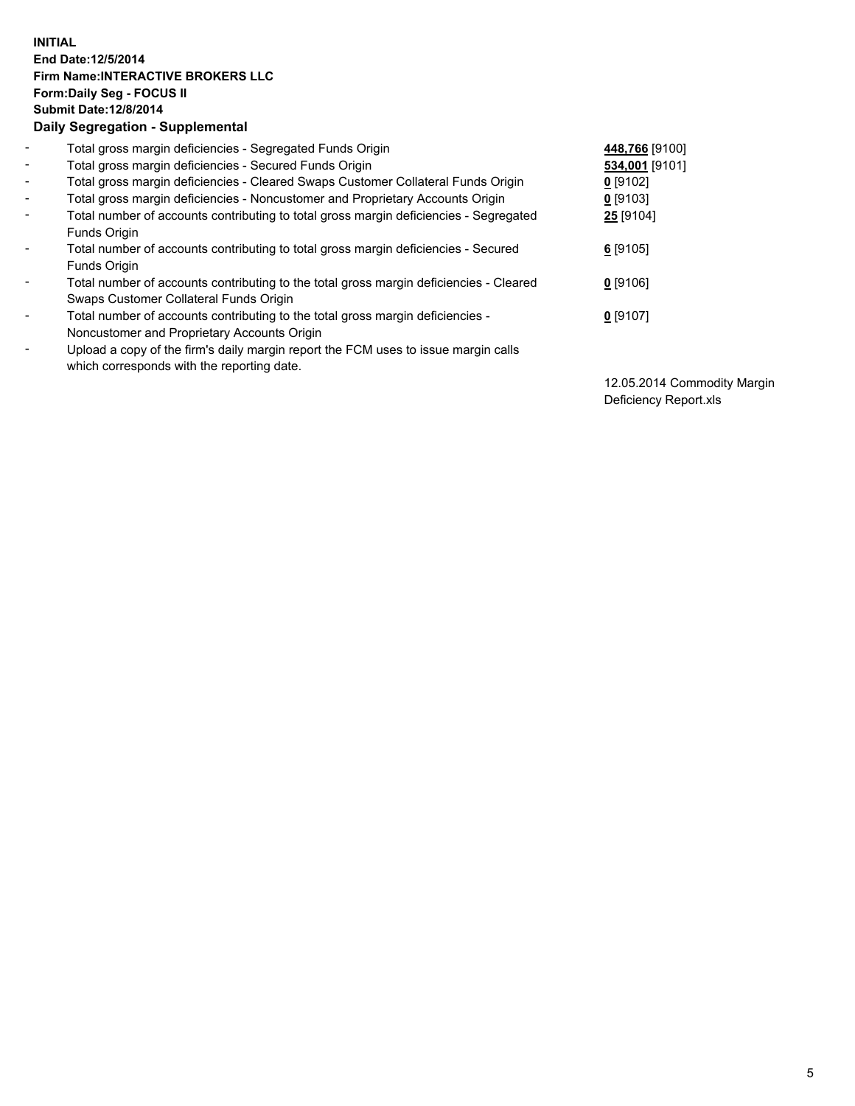## **INITIAL End Date:12/5/2014 Firm Name:INTERACTIVE BROKERS LLC Form:Daily Seg - FOCUS II Submit Date:12/8/2014 Daily Segregation - Supplemental**

| $\blacksquare$               | Total gross margin deficiencies - Segregated Funds Origin                              | 448,766 [9100] |
|------------------------------|----------------------------------------------------------------------------------------|----------------|
| $\blacksquare$               | Total gross margin deficiencies - Secured Funds Origin                                 | 534,001 [9101] |
| $\blacksquare$               | Total gross margin deficiencies - Cleared Swaps Customer Collateral Funds Origin       | $0$ [9102]     |
| $\blacksquare$               | Total gross margin deficiencies - Noncustomer and Proprietary Accounts Origin          | $0$ [9103]     |
| $\blacksquare$               | Total number of accounts contributing to total gross margin deficiencies - Segregated  | 25 [9104]      |
|                              | <b>Funds Origin</b>                                                                    |                |
| $\blacksquare$               | Total number of accounts contributing to total gross margin deficiencies - Secured     | $6$ [9105]     |
|                              | <b>Funds Origin</b>                                                                    |                |
| $\blacksquare$               | Total number of accounts contributing to the total gross margin deficiencies - Cleared | $0$ [9106]     |
|                              | Swaps Customer Collateral Funds Origin                                                 |                |
| $\overline{\phantom{a}}$     | Total number of accounts contributing to the total gross margin deficiencies -         | $0$ [9107]     |
|                              | Noncustomer and Proprietary Accounts Origin                                            |                |
| $\qquad \qquad \blacksquare$ | Upload a copy of the firm's daily margin report the FCM uses to issue margin calls     |                |
|                              | which corresponds with the reporting date.                                             |                |

12.05.2014 Commodity Margin Deficiency Report.xls